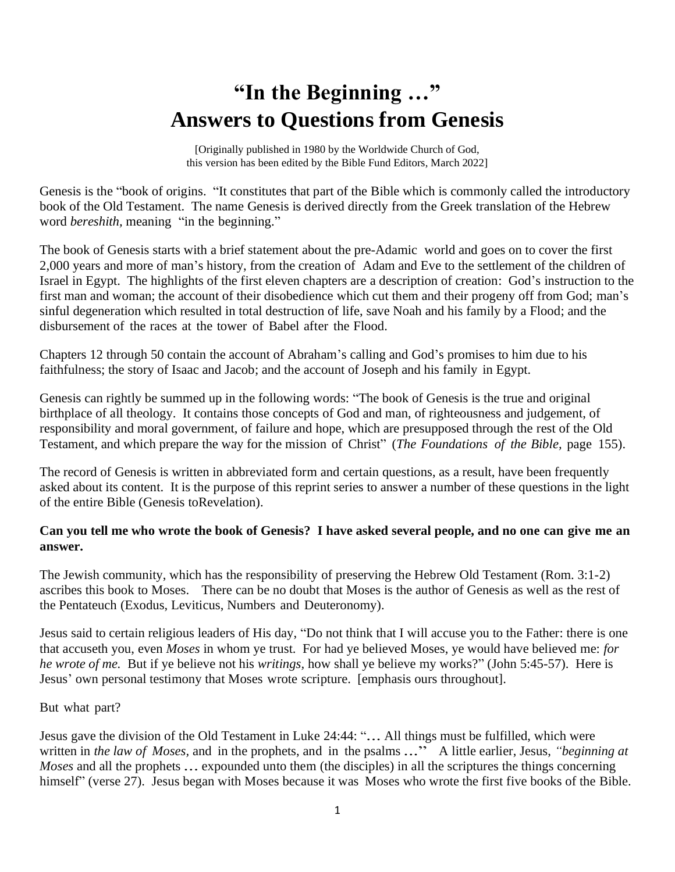# **"In the Beginning …" Answers to Questions from Genesis**

[Originally published in 1980 by the Worldwide Church of God, this version has been edited by the Bible Fund Editors, March 2022]

Genesis is the "book of origins. "It constitutes that part of the Bible which is commonly called the introductory book of the Old Testament. The name Genesis is derived directly from the Greek translation of the Hebrew word *bereshith*, meaning "in the beginning."

The book of Genesis starts with a brief statement about the pre-Adamic world and goes on to cover the first 2,000 years and more of man's history, from the creation of Adam and Eve to the settlement of the children of Israel in Egypt. The highlights of the first eleven chapters are a description of creation: God's instruction to the first man and woman; the account of their disobedience which cut them and their progeny off from God; man's sinful degeneration which resulted in total destruction of life, save Noah and his family by a Flood; and the disbursement of the races at the tower of Babel after the Flood.

Chapters 12 through 50 contain the account of Abraham's calling and God's promises to him due to his faithfulness; the story of Isaac and Jacob; and the account of Joseph and his family in Egypt.

Genesis can rightly be summed up in the following words: "The book of Genesis is the true and original birthplace of all theology. It contains those concepts of God and man, of righteousness and judgement, of responsibility and moral government, of failure and hope, which are presupposed through the rest of the Old Testament, and which prepare the way for the mission of Christ" (*The Foundations of the Bible,* page 155).

The record of Genesis is written in abbreviated form and certain questions, as a result, have been frequently asked about its content. It is the purpose of this reprint series to answer a number of these questions in the light of the entire Bible (Genesis toRevelation).

## **Can you tell me who wrote the book of Genesis? I have asked several people, and no one can give me an answer.**

The Jewish community, which has the responsibility of preserving the Hebrew Old Testament (Rom. 3:1-2) ascribes this book to Moses. There can be no doubt that Moses is the author of Genesis as well as the rest of the Pentateuch (Exodus, Leviticus, Numbers and Deuteronomy).

Jesus said to certain religious leaders of His day, "Do not think that I will accuse you to the Father: there is one that accuseth you, even *Moses* in whom ye trust. For had ye believed Moses, ye would have believed me: *for he wrote of me.* But if ye believe not his *writings,* how shall ye believe my works?" (John 5:45-57). Here is Jesus' own personal testimony that Moses wrote scripture. [emphasis ours throughout].

#### But what part?

Jesus gave the division of the Old Testament in Luke 24:44: "*.*.. All things must be fulfilled, which were written in *the law of Moses*, and in the prophets, and in the psalms ..." A little earlier, Jesus, *"beginning at Moses* and all the prophets *.*.. expounded unto them (the disciples) in all the scriptures the things concerning himself" (verse 27). Jesus began with Moses because it was Moses who wrote the first five books of the Bible.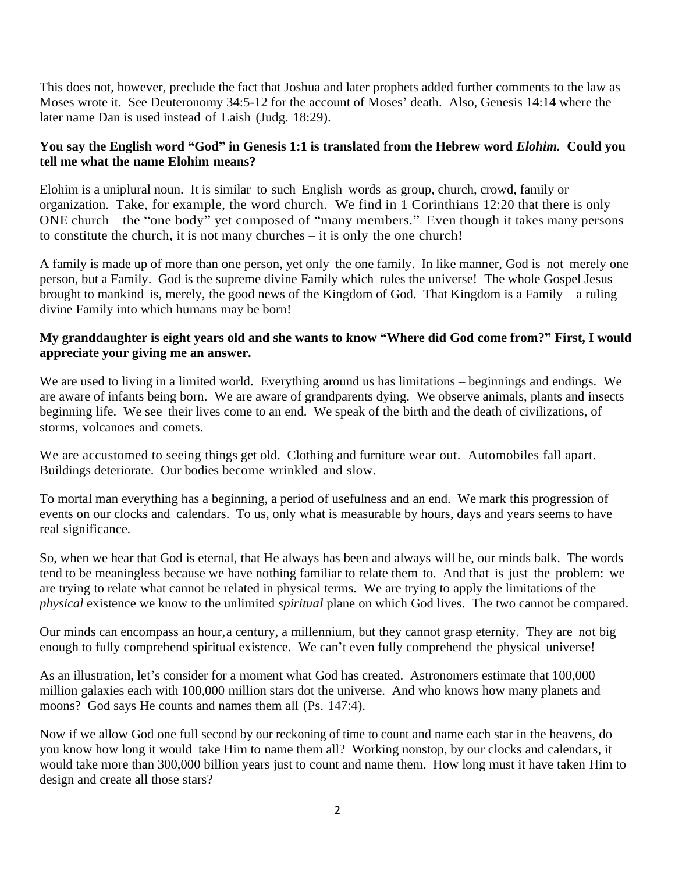This does not, however, preclude the fact that Joshua and later prophets added further comments to the law as Moses wrote it. See Deuteronomy 34:5-12 for the account of Moses' death. Also, Genesis 14:14 where the later name Dan is used instead of Laish (Judg. 18:29).

# **You say the English word "God" in Genesis 1:1 is translated from the Hebrew word** *Elohim.* **Could you tell me what the name Elohim means?**

Elohim is a uniplural noun. It is similar to such English words as group, church, crowd, family or organization. Take, for example, the word church. We find in 1 Corinthians 12:20 that there is only ONE church – the "one body" yet composed of "many members." Even though it takes many persons to constitute the church, it is not many churches – it is only the one church!

A family is made up of more than one person, yet only the one family. In like manner, God is not merely one person, but a Family. God is the supreme divine Family which rules the universe! The whole Gospel Jesus brought to mankind is, merely, the good news of the Kingdom of God. That Kingdom is a Family – a ruling divine Family into which humans may be born!

## My granddaughter is eight years old and she wants to know "Where did God come from?" First, I would **appreciate your giving me an answer.**

We are used to living in a limited world. Everything around us has limitations – beginnings and endings. We are aware of infants being born. We are aware of grandparents dying. We observe animals, plants and insects beginning life. We see their lives come to an end. We speak of the birth and the death of civilizations, of storms, volcanoes and comets.

We are accustomed to seeing things get old. Clothing and furniture wear out. Automobiles fall apart. Buildings deteriorate. Our bodies become wrinkled and slow.

To mortal man everything has a beginning, a period of usefulness and an end. We mark this progression of events on our clocks and calendars. To us, only what is measurable by hours, days and years seems to have real significance.

So, when we hear that God is eternal, that He always has been and always will be, our minds balk. The words tend to be meaningless because we have nothing familiar to relate them to. And that is just the problem: we are trying to relate what cannot be related in physical terms. We are trying to apply the limitations of the *physical* existence we know to the unlimited *spiritual* plane on which God lives. The two cannot be compared.

Our minds can encompass an hour,a century, a millennium, but they cannot grasp eternity. They are not big enough to fully comprehend spiritual existence. We can't even fully comprehend the physical universe!

As an illustration, let's consider for a moment what God has created. Astronomers estimate that 100,000 million galaxies each with 100,000 million stars dot the universe. And who knows how many planets and moons? God says He counts and names them all (Ps. 147:4).

Now if we allow God one full second by our reckoning of time to count and name each star in the heavens, do you know how long it would take Him to name them all? Working nonstop, by our clocks and calendars, it would take more than 300,000 billion years just to count and name them. How long must it have taken Him to design and create all those stars?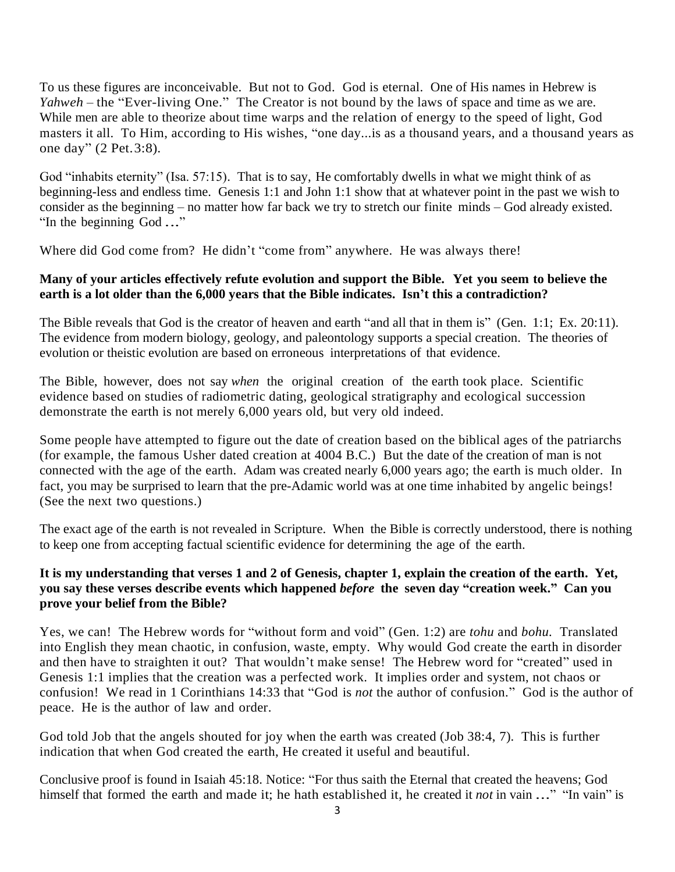To us these figures are inconceivable. But not to God. God is eternal. One of His names in Hebrew is *Yahweh* – the "Ever-living One." The Creator is not bound by the laws of space and time as we are. While men are able to theorize about time warps and the relation of energy to the speed of light, God masters it all. To Him, according to His wishes, "one day...is as a thousand years, and a thousand years as one day" (2 Pet.3:8).

God "inhabits eternity" (Isa. 57:15).That is to say, He comfortably dwells in what we might think of as beginning-less and endless time. Genesis 1:1 and John 1:1 show that at whatever point in the past we wish to consider as the beginning – no matter how far back we try to stretch our finite minds – God already existed. "In the beginning God *.*.."

Where did God come from? He didn't "come from" anywhere. He was always there!

#### **Many of your articles effectively refute evolution and support the Bible. Yet you seem to believe the earth is a lot older than the 6,000 years that the Bible indicates. Isn't this a contradiction?**

The Bible reveals that God is the creator of heaven and earth "and all that in them is" (Gen. 1:1; Ex. 20:11). The evidence from modern biology, geology, and paleontology supports a special creation. The theories of evolution or theistic evolution are based on erroneous interpretations of that evidence.

The Bible, however, does not say *when* the original creation of the earth took place. Scientific evidence based on studies of radiometric dating, geological stratigraphy and ecological succession demonstrate the earth is not merely 6,000 years old, but very old indeed.

Some people have attempted to figure out the date of creation based on the biblical ages of the patriarchs (for example, the famous Usher dated creation at 4004 B.C.) But the date of the creation of man is not connected with the age of the earth. Adam was created nearly 6,000 years ago; the earth is much older. In fact, you may be surprised to learn that the pre-Adamic world was at one time inhabited by angelic beings! (See the next two questions.)

The exact age of the earth is not revealed in Scripture. When the Bible is correctly understood, there is nothing to keep one from accepting factual scientific evidence for determining the age of the earth.

## **It is my understanding that verses 1 and 2 of Genesis, chapter 1, explain the creation of the earth. Yet, you say these verses describe events which happened** *before* **the seven day "creation week." Can you prove your belief from the Bible?**

Yes, we can! The Hebrew words for "without form and void" (Gen. 1:2) are *tohu* and *bohu.* Translated into English they mean chaotic, in confusion, waste, empty. Why would God create the earth in disorder and then have to straighten it out? That wouldn't make sense! The Hebrew word for "created" used in Genesis 1:1 implies that the creation was a perfected work. It implies order and system, not chaos or confusion! We read in 1 Corinthians 14:33 that "God is *not* the author of confusion." God is the author of peace. He is the author of law and order.

God told Job that the angels shouted for joy when the earth was created (Job 38:4, 7). This is further indication that when God created the earth, He created it useful and beautiful.

Conclusive proof is found in Isaiah 45:18. Notice: "For thus saith the Eternal that created the heavens; God himself that formed the earth and made it; he hath established it, he created it *not* in vain ..." "In vain" is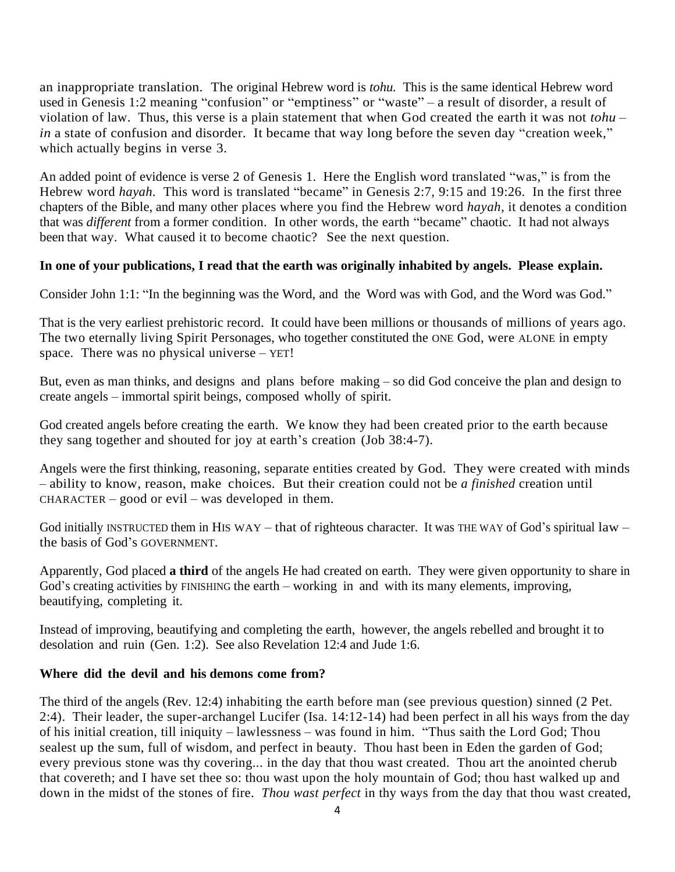an inappropriate translation. The original Hebrew word is *tohu.* This is the same identical Hebrew word used in Genesis 1:2 meaning "confusion" or "emptiness" or "waste" – a result of disorder, a result of violation of law. Thus, this verse is a plain statement that when God created the earth it was not *tohu* – *in* a state of confusion and disorder. It became that way long before the seven day "creation week," which actually begins in verse 3.

An added point of evidence is verse 2 of Genesis 1. Here the English word translated "was," is from the Hebrew word *hayah*. This word is translated "became" in Genesis 2:7, 9:15 and 19:26. In the first three chapters of the Bible, and many other places where you find the Hebrew word *hayah,* it denotes a condition that was *different* from a former condition. In other words, the earth "became" chaotic. It had not always been that way. What caused it to become chaotic? See the next question.

#### **In one of your publications, I read that the earth was originally inhabited by angels. Please explain.**

Consider John 1:1: "In the beginning was the Word, and the Word was with God, and the Word was God."

That is the very earliest prehistoric record. It could have been millions or thousands of millions of years ago. The two eternally living Spirit Personages, who together constituted the ONE God, were ALONE in empty space. There was no physical universe – YET!

But, even as man thinks, and designs and plans before making – so did God conceive the plan and design to create angels – immortal spirit beings, composed wholly of spirit.

God created angels before creating the earth. We know they had been created prior to the earth because they sang together and shouted for joy at earth's creation (Job 38:4-7).

Angels were the first thinking, reasoning, separate entities created by God. They were created with minds – ability to know, reason, make choices. But their creation could not be *a finished* creation until  $CHARACTER - good or evil - was developed in them.$ 

God initially INSTRUCTED them in HIS WAY – that of righteous character. It was THE WAY of God's spiritual law – the basis of God's GOVERNMENT.

Apparently, God placed **a third** of the angels He had created on earth. They were given opportunity to share in God's creating activities by FINISHING the earth – working in and with its many elements, improving, beautifying, completing it.

Instead of improving, beautifying and completing the earth, however, the angels rebelled and brought it to desolation and ruin (Gen. 1:2). See also Revelation 12:4 and Jude 1:6.

#### **Where did the devil and his demons come from?**

The third of the angels (Rev. 12:4) inhabiting the earth before man (see previous question) sinned (2 Pet. 2:4). Their leader, the super-archangel Lucifer (Isa. 14:12-14) had been perfect in all his ways from the day of his initial creation, till iniquity – lawlessness – was found in him. "Thus saith the Lord God; Thou sealest up the sum, full of wisdom, and perfect in beauty. Thou hast been in Eden the garden of God; every previous stone was thy covering... in the day that thou wast created. Thou art the anointed cherub that covereth; and I have set thee so: thou wast upon the holy mountain of God; thou hast walked up and down in the midst of the stones of fire. *Thou wast perfect* in thy ways from the day that thou wast created,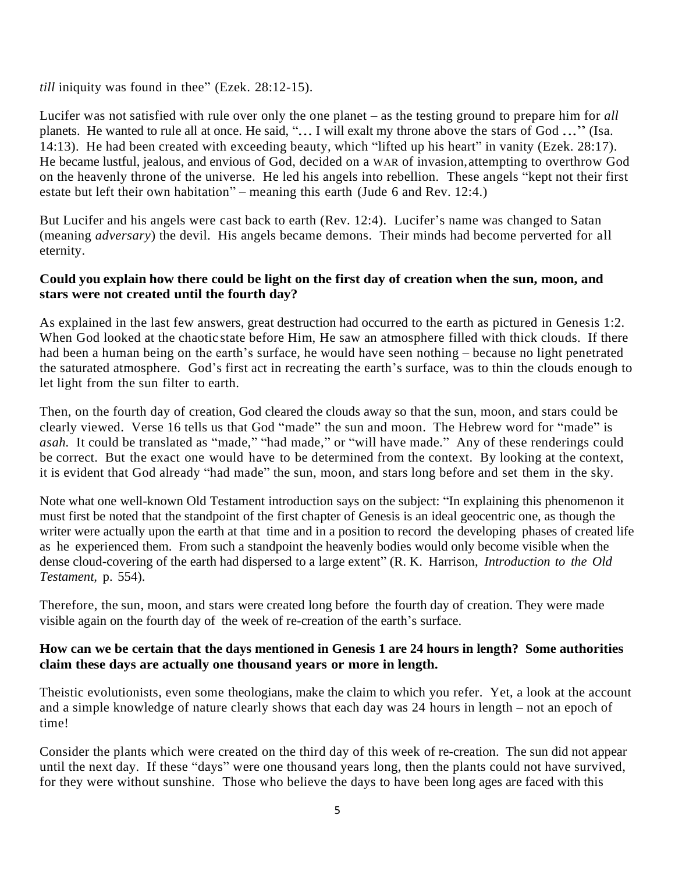*till* iniquity was found in thee" (Ezek. 28:12-15).

Lucifer was not satisfied with rule over only the one planet – as the testing ground to prepare him for *all* planets. He wanted to rule all at once. He said, "*.*.. I will exalt my throne above the stars of God *.*.." (Isa. 14:13). He had been created with exceeding beauty, which "lifted up his heart" in vanity (Ezek. 28:17). He became lustful, jealous, and envious of God, decided on a WAR of invasion,attempting to overthrow God on the heavenly throne of the universe. He led his angels into rebellion. These angels "kept not their first estate but left their own habitation" – meaning this earth (Jude 6 and Rev. 12:4.)

But Lucifer and his angels were cast back to earth (Rev. 12:4). Lucifer's name was changed to Satan (meaning *adversary*) the devil. His angels became demons. Their minds had become perverted for all eternity.

#### **Could you explain how there could be light on the first day of creation when the sun, moon, and stars were not created until the fourth day?**

As explained in the last few answers, great destruction had occurred to the earth as pictured in Genesis 1:2. When God looked at the chaotic state before Him, He saw an atmosphere filled with thick clouds. If there had been a human being on the earth's surface, he would have seen nothing – because no light penetrated the saturated atmosphere. God's first act in recreating the earth's surface, was to thin the clouds enough to let light from the sun filter to earth.

Then, on the fourth day of creation, God cleared the clouds away so that the sun, moon, and stars could be clearly viewed. Verse 16 tells us that God "made" the sun and moon. The Hebrew word for "made" is *asah.* It could be translated as "made," "had made," or "will have made." Any of these renderings could be correct. But the exact one would have to be determined from the context. By looking at the context, it is evident that God already "had made" the sun, moon, and stars long before and set them in the sky.

Note what one well-known Old Testament introduction says on the subject: "In explaining this phenomenon it must first be noted that the standpoint of the first chapter of Genesis is an ideal geocentric one, as though the writer were actually upon the earth at that time and in a position to record the developing phases of created life as he experienced them. From such a standpoint the heavenly bodies would only become visible when the dense cloud-covering of the earth had dispersed to a large extent" (R. K. Harrison, *Introduction to the Old Testament,* p. 554).

Therefore, the sun, moon, and stars were created long before the fourth day of creation. They were made visible again on the fourth day of the week of re-creation of the earth's surface.

## **How can we be certain that the days mentioned in Genesis 1 are 24 hours in length? Some authorities claim these days are actually one thousand years or more in length.**

Theistic evolutionists, even some theologians, make the claim to which you refer. Yet, a look at the account and a simple knowledge of nature clearly shows that each day was 24 hours in length – not an epoch of time!

Consider the plants which were created on the third day of this week of re-creation. The sun did not appear until the next day. If these "days" were one thousand years long, then the plants could not have survived, for they were without sunshine. Those who believe the days to have been long ages are faced with this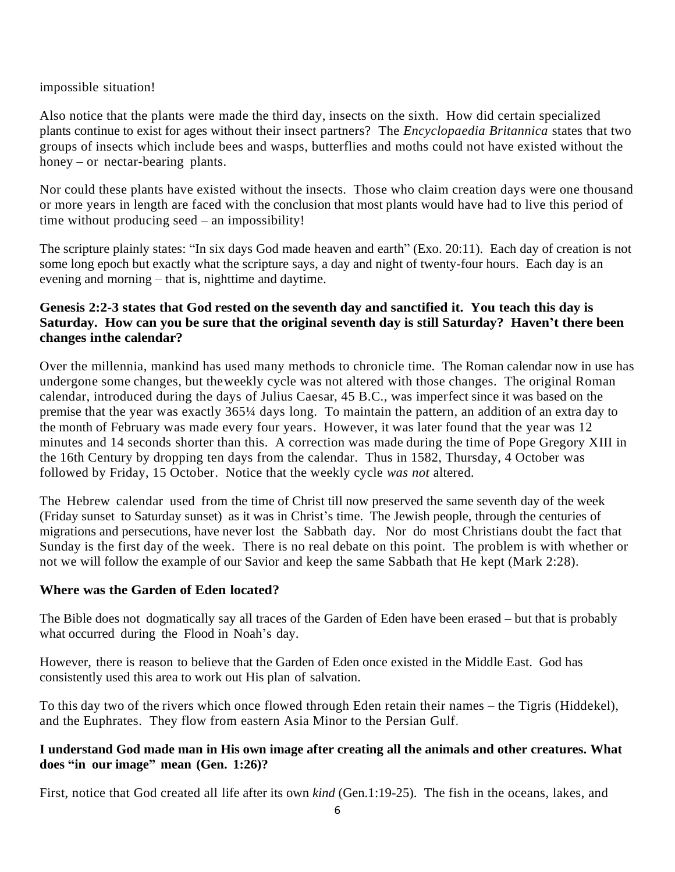impossible situation!

Also notice that the plants were made the third day, insects on the sixth. How did certain specialized plants continue to exist for ages without their insect partners? The *Encyclopaedia Britannica* states that two groups of insects which include bees and wasps, butterflies and moths could not have existed without the honey – or nectar-bearing plants.

Nor could these plants have existed without the insects. Those who claim creation days were one thousand or more years in length are faced with the conclusion that most plants would have had to live this period of time without producing seed – an impossibility!

The scripture plainly states: "In six days God made heaven and earth" (Exo. 20:11). Each day of creation is not some long epoch but exactly what the scripture says, a day and night of twenty-four hours. Each day is an evening and morning – that is, nighttime and daytime.

# **Genesis 2:2-3 states that God rested on the seventh day and sanctified it. You teach this day is Saturday. How can you be sure that the original seventh day is still Saturday? Haven't there been changes inthe calendar?**

Over the millennia, mankind has used many methods to chronicle time. The Roman calendar now in use has undergone some changes, but theweekly cycle was not altered with those changes. The original Roman calendar, introduced during the days of Julius Caesar, 45 B.C., was imperfect since it was based on the premise that the year was exactly 365¼ days long. To maintain the pattern, an addition of an extra day to the month of February was made every four years. However, it was later found that the year was 12 minutes and 14 seconds shorter than this. A correction was made during the time of Pope Gregory XIII in the 16th Century by dropping ten days from the calendar. Thus in 1582, Thursday, 4 October was followed by Friday, 15 October. Notice that the weekly cycle *was not* altered*.*

The Hebrew calendar used from the time of Christ till now preserved the same seventh day of the week (Friday sunset to Saturday sunset) as it was in Christ's time. The Jewish people, through the centuries of migrations and persecutions, have never lost the Sabbath day. Nor do most Christians doubt the fact that Sunday is the first day of the week. There is no real debate on this point. The problem is with whether or not we will follow the example of our Savior and keep the same Sabbath that He kept (Mark 2:28).

## **Where was the Garden of Eden located?**

The Bible does not dogmatically say all traces of the Garden of Eden have been erased – but that is probably what occurred during the Flood in Noah's day.

However, there is reason to believe that the Garden of Eden once existed in the Middle East. God has consistently used this area to work out His plan of salvation.

To this day two of the rivers which once flowed through Eden retain their names – the Tigris (Hiddekel), and the Euphrates. They flow from eastern Asia Minor to the Persian Gulf.

# **I understand God made man in His own image after creating all the animals and other creatures. What does "in our image" mean (Gen. 1:26)?**

First, notice that God created all life after its own *kind* (Gen.1:19-25). The fish in the oceans, lakes, and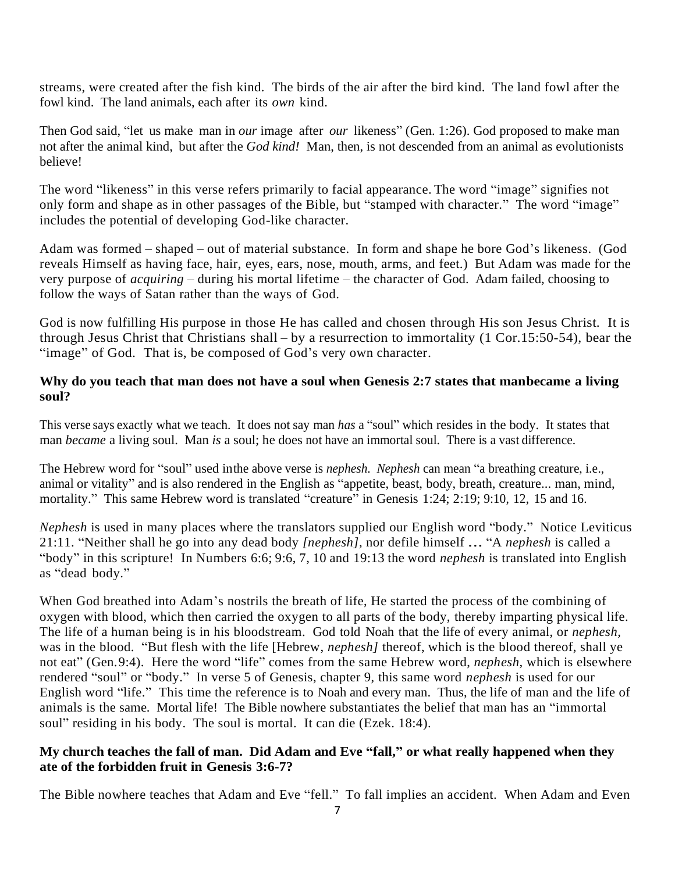streams, were created after the fish kind. The birds of the air after the bird kind. The land fowl after the fowl kind. The land animals, each after its *own* kind.

Then God said, "let us make man in *our* image after *our* likeness" (Gen. 1:26). God proposed to make man not after the animal kind, but after the *God kind!* Man, then, is not descended from an animal as evolutionists believe!

The word "likeness" in this verse refers primarily to facial appearance. The word "image" signifies not only form and shape as in other passages of the Bible, but "stamped with character." The word "image" includes the potential of developing God-like character.

Adam was formed – shaped – out of material substance. In form and shape he bore God's likeness. (God reveals Himself as having face, hair, eyes, ears, nose, mouth, arms, and feet.) But Adam was made for the very purpose of *acquiring* – during his mortal lifetime – the character of God. Adam failed, choosing to follow the ways of Satan rather than the ways of God.

God is now fulfilling His purpose in those He has called and chosen through His son Jesus Christ. It is through Jesus Christ that Christians shall – by a resurrection to immortality (1 Cor.15:50-54), bear the "image" of God. That is, be composed of God's very own character.

## **Why do you teach that man does not have a soul when Genesis 2:7 states that manbecame a living soul?**

This verse says exactly what we teach. It does not say man *has* a "soul" which resides in the body. It states that man *became* a living soul. Man *is* a soul; he does not have an immortal soul. There is a vast difference.

The Hebrew word for "soul" used inthe above verse is *nephesh. Nephesh* can mean "a breathing creature, i.e., animal or vitality" and is also rendered in the English as "appetite, beast, body, breath, creature... man, mind, mortality." This same Hebrew word is translated "creature" in Genesis 1:24; 2:19; 9:10, 12, 15 and 16.

*Nephesh* is used in many places where the translators supplied our English word "body." Notice Leviticus 21:11. "Neither shall he go into any dead body *[nephesh],* nor defile himself *.*.. "A *nephesh* is called a "body" in this scripture! In Numbers 6:6; 9:6, 7, 10 and 19:13 the word *nephesh* is translated into English as "dead body."

When God breathed into Adam's nostrils the breath of life, He started the process of the combining of oxygen with blood, which then carried the oxygen to all parts of the body, thereby imparting physical life. The life of a human being is in his bloodstream. God told Noah that the life of every animal, or *nephesh,*  was in the blood. "But flesh with the life [Hebrew, *nephesh]* thereof, which is the blood thereof, shall ye not eat" (Gen.9:4). Here the word "life" comes from the same Hebrew word, *nephesh,* which is elsewhere rendered "soul" or "body." In verse 5 of Genesis, chapter 9, this same word *nephesh* is used for our English word "life." This time the reference is to Noah and every man. Thus, the life of man and the life of animals is the same. Mortal life! The Bible nowhere substantiates the belief that man has an "immortal soul" residing in his body. The soul is mortal. It can die (Ezek. 18:4).

## **My church teaches the fall of man. Did Adam and Eve "fall," or what really happened when they ate of the forbidden fruit in Genesis 3:6-7?**

The Bible nowhere teaches that Adam and Eve "fell." To fall implies an accident. When Adam and Even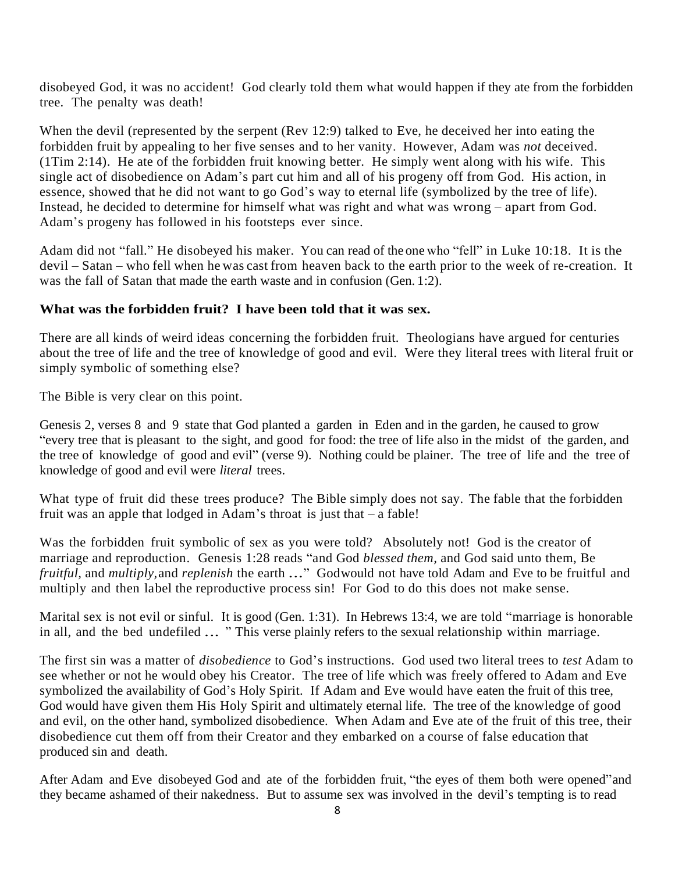disobeyed God, it was no accident! God clearly told them what would happen if they ate from the forbidden tree. The penalty was death!

When the devil (represented by the serpent (Rev 12:9) talked to Eve, he deceived her into eating the forbidden fruit by appealing to her five senses and to her vanity. However, Adam was *not* deceived. (1Tim 2:14). He ate of the forbidden fruit knowing better. He simply went along with his wife. This single act of disobedience on Adam's part cut him and all of his progeny off from God. His action, in essence, showed that he did not want to go God's way to eternal life (symbolized by the tree of life). Instead, he decided to determine for himself what was right and what was wrong – apart from God. Adam's progeny has followed in his footsteps ever since.

Adam did not "fall." He disobeyed his maker. You can read of the one who "fell" in Luke 10:18. It is the devil – Satan – who fell when he was cast from heaven back to the earth prior to the week of re-creation. It was the fall of Satan that made the earth waste and in confusion (Gen. 1:2).

## **What was the forbidden fruit? I have been told that it was sex.**

There are all kinds of weird ideas concerning the forbidden fruit. Theologians have argued for centuries about the tree of life and the tree of knowledge of good and evil. Were they literal trees with literal fruit or simply symbolic of something else?

The Bible is very clear on this point.

Genesis 2, verses 8 and 9 state that God planted a garden in Eden and in the garden, he caused to grow "every tree that is pleasant to the sight, and good for food: the tree of life also in the midst of the garden, and the tree of knowledge of good and evil" (verse 9). Nothing could be plainer. The tree of life and the tree of knowledge of good and evil were *literal* trees.

What type of fruit did these trees produce? The Bible simply does not say. The fable that the forbidden fruit was an apple that lodged in Adam's throat is just that – a fable!

Was the forbidden fruit symbolic of sex as you were told? Absolutely not! God is the creator of marriage and reproduction. Genesis 1:28 reads "and God *blessed them,* and God said unto them, Be *fruitful,* and *multiply,*and *replenish* the earth *.*.." Godwould not have told Adam and Eve to be fruitful and multiply and then label the reproductive process sin! For God to do this does not make sense.

Marital sex is not evil or sinful. It is good (Gen. 1:31). In Hebrews 13:4, we are told "marriage is honorable in all, and the bed undefiled *.*.. " This verse plainly refers to the sexual relationship within marriage.

The first sin was a matter of *disobedience* to God's instructions. God used two literal trees to *test* Adam to see whether or not he would obey his Creator. The tree of life which was freely offered to Adam and Eve symbolized the availability of God's Holy Spirit. If Adam and Eve would have eaten the fruit of this tree, God would have given them His Holy Spirit and ultimately eternal life. The tree of the knowledge of good and evil, on the other hand, symbolized disobedience. When Adam and Eve ate of the fruit of this tree, their disobedience cut them off from their Creator and they embarked on a course of false education that produced sin and death.

After Adam and Eve disobeyed God and ate of the forbidden fruit, "the eyes of them both were opened"and they became ashamed of their nakedness. But to assume sex was involved in the devil's tempting is to read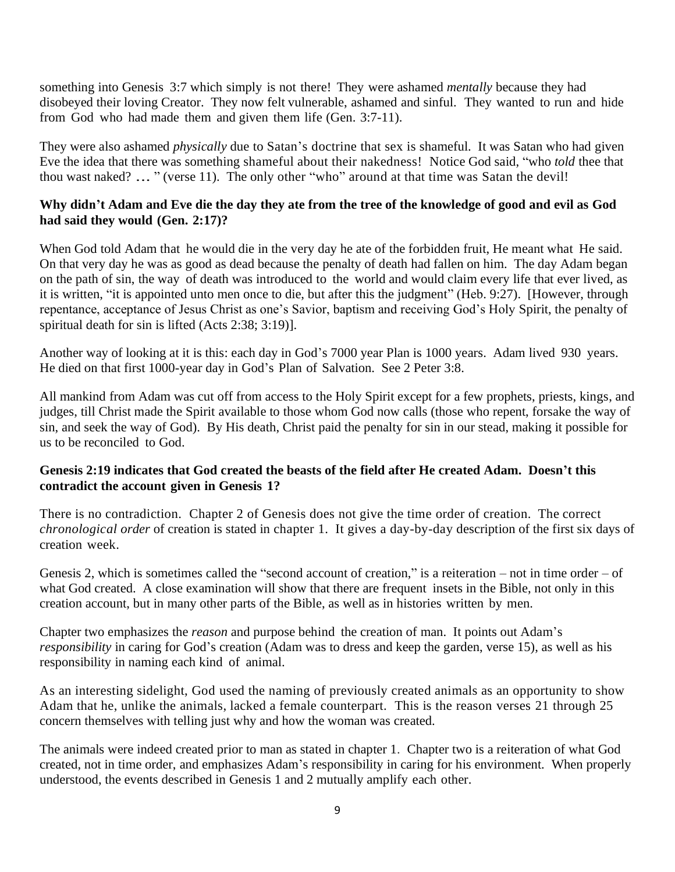something into Genesis 3:7 which simply is not there! They were ashamed *mentally* because they had disobeyed their loving Creator. They now felt vulnerable, ashamed and sinful. They wanted to run and hide from God who had made them and given them life (Gen. 3:7-11).

They were also ashamed *physically* due to Satan's doctrine that sex is shameful. It was Satan who had given Eve the idea that there was something shameful about their nakedness! Notice God said, "who *told* thee that thou wast naked? *.*.. " (verse 11). The only other "who" around at that time was Satan the devil!

# **Why didn't Adam and Eve die the day they ate from the tree of the knowledge of good and evil as God had said they would (Gen. 2:17)?**

When God told Adam that he would die in the very day he ate of the forbidden fruit, He meant what He said. On that very day he was as good as dead because the penalty of death had fallen on him. The day Adam began on the path of sin, the way of death was introduced to the world and would claim every life that ever lived, as it is written, "it is appointed unto men once to die, but after this the judgment" (Heb. 9:27). [However, through repentance, acceptance of Jesus Christ as one's Savior, baptism and receiving God's Holy Spirit, the penalty of spiritual death for sin is lifted (Acts 2:38; 3:19)].

Another way of looking at it is this: each day in God's 7000 year Plan is 1000 years. Adam lived 930 years. He died on that first 1000-year day in God's Plan of Salvation. See 2 Peter 3:8.

All mankind from Adam was cut off from access to the Holy Spirit except for a few prophets, priests, kings, and judges, till Christ made the Spirit available to those whom God now calls (those who repent, forsake the way of sin, and seek the way of God). By His death, Christ paid the penalty for sin in our stead, making it possible for us to be reconciled to God.

## **Genesis 2:19 indicates that God created the beasts of the field after He created Adam. Doesn't this contradict the account given in Genesis 1?**

There is no contradiction. Chapter 2 of Genesis does not give the time order of creation. The correct *chronological order* of creation is stated in chapter 1. It gives a day-by-day description of the first six days of creation week.

Genesis 2, which is sometimes called the "second account of creation," is a reiteration – not in time order – of what God created. A close examination will show that there are frequent insets in the Bible, not only in this creation account, but in many other parts of the Bible, as well as in histories written by men.

Chapter two emphasizes the *reason* and purpose behind the creation of man. It points out Adam's *responsibility* in caring for God's creation (Adam was to dress and keep the garden, verse 15), as well as his responsibility in naming each kind of animal.

As an interesting sidelight, God used the naming of previously created animals as an opportunity to show Adam that he, unlike the animals, lacked a female counterpart. This is the reason verses 21 through 25 concern themselves with telling just why and how the woman was created.

The animals were indeed created prior to man as stated in chapter 1. Chapter two is a reiteration of what God created, not in time order, and emphasizes Adam's responsibility in caring for his environment. When properly understood, the events described in Genesis 1 and 2 mutually amplify each other.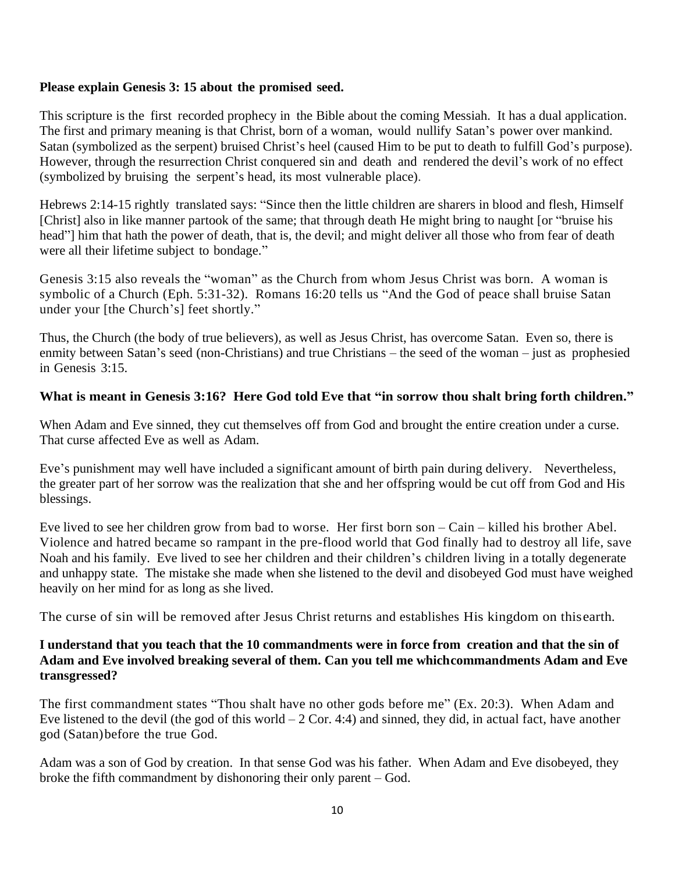#### **Please explain Genesis 3: 15 about the promised seed.**

This scripture is the first recorded prophecy in the Bible about the coming Messiah. It has a dual application. The first and primary meaning is that Christ, born of a woman, would nullify Satan's power over mankind. Satan (symbolized as the serpent) bruised Christ's heel (caused Him to be put to death to fulfill God's purpose). However, through the resurrection Christ conquered sin and death and rendered the devil's work of no effect (symbolized by bruising the serpent's head, its most vulnerable place).

Hebrews 2:14-15 rightly translated says: "Since then the little children are sharers in blood and flesh, Himself [Christ] also in like manner partook of the same; that through death He might bring to naught [or "bruise his head"] him that hath the power of death, that is, the devil; and might deliver all those who from fear of death were all their lifetime subject to bondage."

Genesis 3:15 also reveals the "woman" as the Church from whom Jesus Christ was born. A woman is symbolic of a Church (Eph. 5:31-32). Romans 16:20 tells us "And the God of peace shall bruise Satan under your [the Church's] feet shortly."

Thus, the Church (the body of true believers), as well as Jesus Christ, has overcome Satan. Even so, there is enmity between Satan's seed (non-Christians) and true Christians – the seed of the woman – just as prophesied in Genesis 3:15.

## **What is meant in Genesis 3:16? Here God told Eve that "in sorrow thou shalt bring forth children."**

When Adam and Eve sinned, they cut themselves off from God and brought the entire creation under a curse. That curse affected Eve as well as Adam.

Eve's punishment may well have included a significant amount of birth pain during delivery. Nevertheless, the greater part of her sorrow was the realization that she and her offspring would be cut off from God and His blessings.

Eve lived to see her children grow from bad to worse. Her first born son – Cain – killed his brother Abel. Violence and hatred became so rampant in the pre-flood world that God finally had to destroy all life, save Noah and his family. Eve lived to see her children and their children's children living in a totally degenerate and unhappy state. The mistake she made when she listened to the devil and disobeyed God must have weighed heavily on her mind for as long as she lived.

The curse of sin will be removed after Jesus Christ returns and establishes His kingdom on thisearth.

#### **I understand that you teach that the 10 commandments were in force from creation and that the sin of Adam and Eve involved breaking several of them. Can you tell me whichcommandments Adam and Eve transgressed?**

The first commandment states "Thou shalt have no other gods before me" (Ex. 20:3). When Adam and Eve listened to the devil (the god of this world  $-2$  Cor. 4:4) and sinned, they did, in actual fact, have another god (Satan)before the true God.

Adam was a son of God by creation. In that sense God was his father. When Adam and Eve disobeyed, they broke the fifth commandment by dishonoring their only parent – God.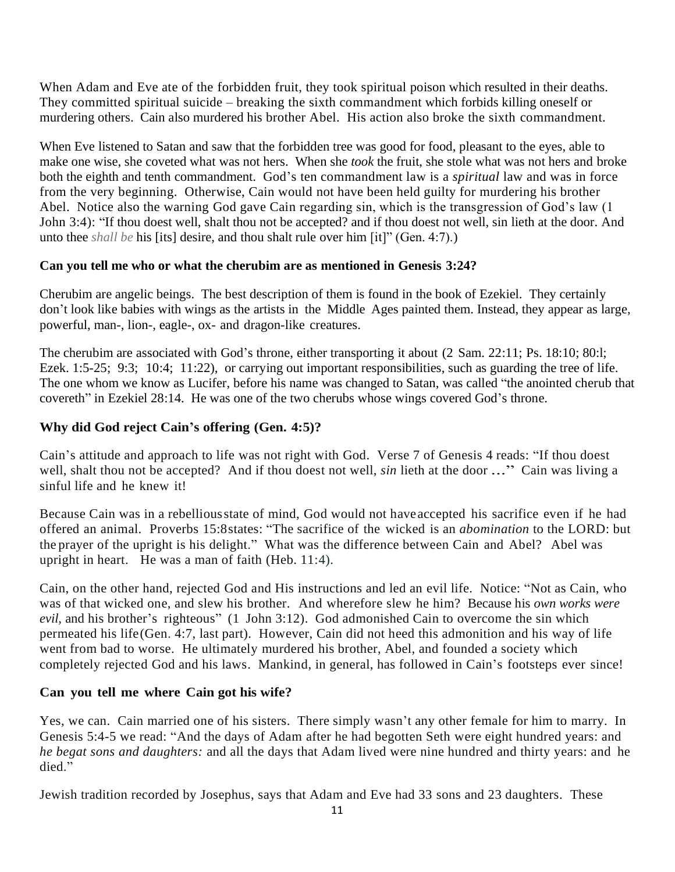When Adam and Eve ate of the forbidden fruit, they took spiritual poison which resulted in their deaths. They committed spiritual suicide – breaking the sixth commandment which forbids killing oneself or murdering others. Cain also murdered his brother Abel. His action also broke the sixth commandment.

When Eve listened to Satan and saw that the forbidden tree was good for food, pleasant to the eyes, able to make one wise, she coveted what was not hers. When she *took* the fruit, she stole what was not hers and broke both the eighth and tenth commandment. God's ten commandment law is a *spiritual* law and was in force from the very beginning. Otherwise, Cain would not have been held guilty for murdering his brother Abel. Notice also the warning God gave Cain regarding sin, which is the transgression of God's law (1 John 3:4): "If thou doest well, shalt thou not be accepted? and if thou doest not well, sin lieth at the door. And unto thee *shall be* his [its] desire, and thou shalt rule over him [it]" (Gen. 4:7).)

## **Can you tell me who or what the cherubim are as mentioned in Genesis 3:24?**

Cherubim are angelic beings. The best description of them is found in the book of Ezekiel. They certainly don't look like babies with wings as the artists in the Middle Ages painted them. Instead, they appear as large, powerful, man-, lion-, eagle-, ox- and dragon-like creatures.

The cherubim are associated with God's throne, either transporting it about (2 Sam. 22:11; Ps. 18:10; 80:l; Ezek. 1:5-25; 9:3; 10:4; 11:22), or carrying out important responsibilities, such as guarding the tree of life. The one whom we know as Lucifer, before his name was changed to Satan, was called "the anointed cherub that covereth" in Ezekiel 28:14. He was one of the two cherubs whose wings covered God's throne.

## **Why did God reject Cain's offering (Gen. 4:5)?**

Cain's attitude and approach to life was not right with God. Verse 7 of Genesis 4 reads: "If thou doest well, shalt thou not be accepted? And if thou doest not well, *sin* lieth at the door ..." Cain was living a sinful life and he knew it!

Because Cain was in a rebelliousstate of mind, God would not haveaccepted his sacrifice even if he had offered an animal. Proverbs 15:8states: "The sacrifice of the wicked is an *abomination* to the LORD: but the prayer of the upright is his delight." What was the difference between Cain and Abel? Abel was upright in heart. He was a man of faith (Heb. 11:4).

Cain, on the other hand, rejected God and His instructions and led an evil life. Notice: "Not as Cain, who was of that wicked one, and slew his brother. And wherefore slew he him? Because his *own works were evil,* and his brother's righteous" (1 John 3:12). God admonished Cain to overcome the sin which permeated his life(Gen. 4:7, last part). However, Cain did not heed this admonition and his way of life went from bad to worse. He ultimately murdered his brother, Abel, and founded a society which completely rejected God and his laws. Mankind, in general, has followed in Cain's footsteps ever since!

## **Can you tell me where Cain got his wife?**

Yes, we can. Cain married one of his sisters. There simply wasn't any other female for him to marry. In Genesis 5:4-5 we read: "And the days of Adam after he had begotten Seth were eight hundred years: and *he begat sons and daughters:* and all the days that Adam lived were nine hundred and thirty years: and he died."

Jewish tradition recorded by Josephus, says that Adam and Eve had 33 sons and 23 daughters. These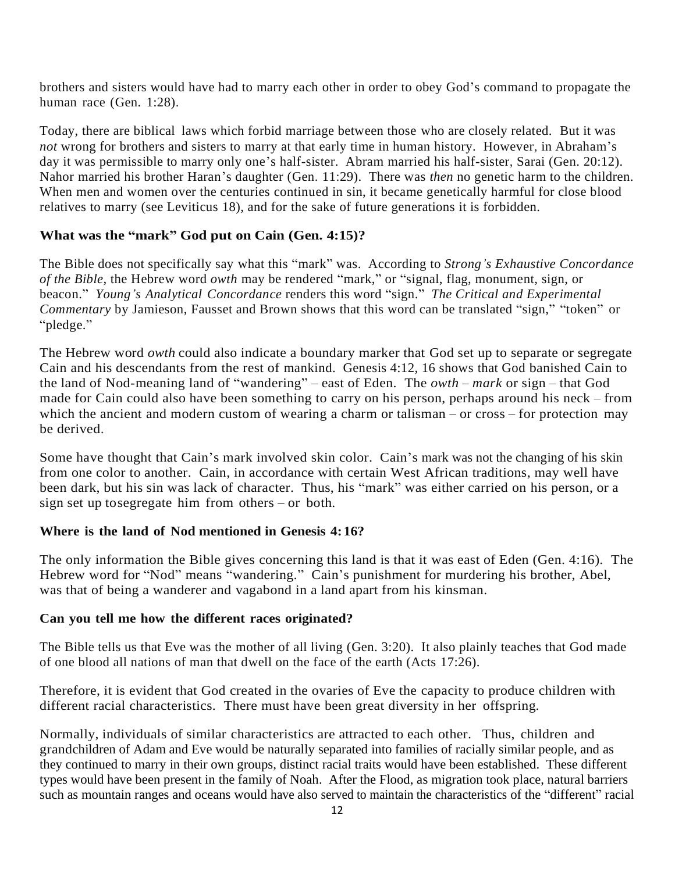brothers and sisters would have had to marry each other in order to obey God's command to propagate the human race (Gen. 1:28).

Today, there are biblical laws which forbid marriage between those who are closely related. But it was *not* wrong for brothers and sisters to marry at that early time in human history. However, in Abraham's day it was permissible to marry only one's half-sister. Abram married his half-sister, Sarai (Gen. 20:12). Nahor married his brother Haran's daughter (Gen. 11:29). There was *then* no genetic harm to the children. When men and women over the centuries continued in sin, it became genetically harmful for close blood relatives to marry (see Leviticus 18), and for the sake of future generations it is forbidden.

## **What was the "mark" God put on Cain (Gen. 4:15)?**

The Bible does not specifically say what this "mark" was. According to *Strong's Exhaustive Concordance of the Bible,* the Hebrew word *owth* may be rendered "mark," or "signal, flag, monument, sign, or beacon." *Young's Analytical Concordance* renders this word "sign." *The Critical and Experimental Commentary* by Jamieson, Fausset and Brown shows that this word can be translated "sign," "token" or "pledge."

The Hebrew word *owth* could also indicate a boundary marker that God set up to separate or segregate Cain and his descendants from the rest of mankind. Genesis 4:12, 16 shows that God banished Cain to the land of Nod-meaning land of "wandering" – east of Eden. The *owth* – *mark* or sign – that God made for Cain could also have been something to carry on his person, perhaps around his neck – from which the ancient and modern custom of wearing a charm or talisman – or cross – for protection may be derived.

Some have thought that Cain's mark involved skin color. Cain's mark was not the changing of his skin from one color to another. Cain, in accordance with certain West African traditions, may well have been dark, but his sin was lack of character. Thus, his "mark" was either carried on his person, or a sign set up tosegregate him from others – or both.

## **Where is the land of Nod mentioned in Genesis 4:16?**

The only information the Bible gives concerning this land is that it was east of Eden (Gen. 4:16). The Hebrew word for "Nod" means "wandering." Cain's punishment for murdering his brother, Abel, was that of being a wanderer and vagabond in a land apart from his kinsman.

## **Can you tell me how the different races originated?**

The Bible tells us that Eve was the mother of all living (Gen. 3:20). It also plainly teaches that God made of one blood all nations of man that dwell on the face of the earth (Acts 17:26).

Therefore, it is evident that God created in the ovaries of Eve the capacity to produce children with different racial characteristics. There must have been great diversity in her offspring.

Normally, individuals of similar characteristics are attracted to each other. Thus, children and grandchildren of Adam and Eve would be naturally separated into families of racially similar people, and as they continued to marry in their own groups, distinct racial traits would have been established. These different types would have been present in the family of Noah. After the Flood, as migration took place, natural barriers such as mountain ranges and oceans would have also served to maintain the characteristics of the "different" racial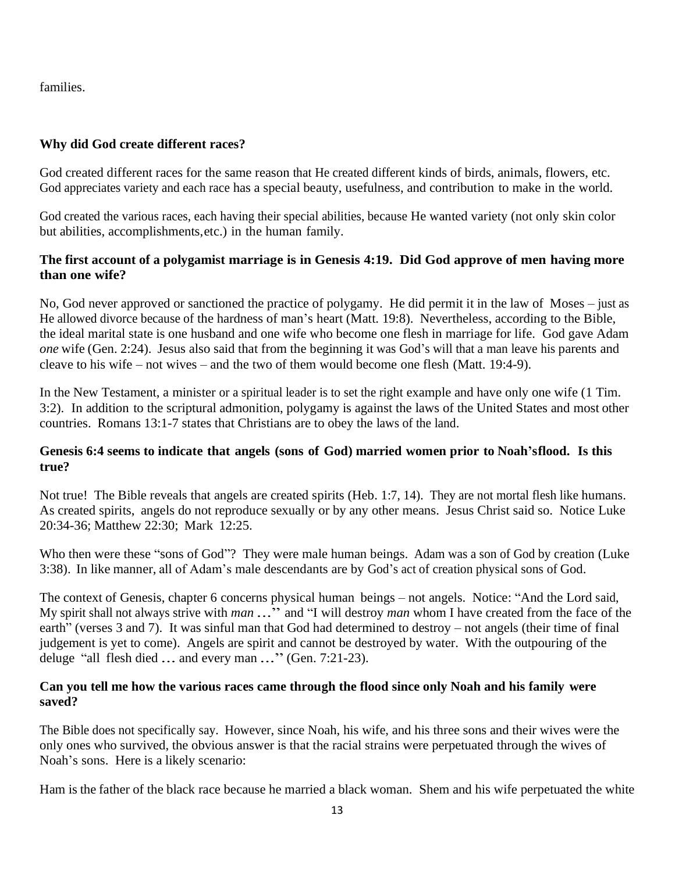families.

# **Why did God create different races?**

God created different races for the same reason that He created different kinds of birds, animals, flowers, etc. God appreciates variety and each race has a special beauty, usefulness, and contribution to make in the world.

God created the various races, each having their special abilities, because He wanted variety (not only skin color but abilities, accomplishments,etc.) in the human family.

# **The first account of a polygamist marriage is in Genesis 4:19. Did God approve of men having more than one wife?**

No, God never approved or sanctioned the practice of polygamy. He did permit it in the law of Moses – just as He allowed divorce because of the hardness of man's heart (Matt. 19:8). Nevertheless, according to the Bible, the ideal marital state is one husband and one wife who become one flesh in marriage for life. God gave Adam *one* wife (Gen. 2:24). Jesus also said that from the beginning it was God's will that a man leave his parents and cleave to his wife – not wives – and the two of them would become one flesh (Matt. 19:4-9).

In the New Testament, a minister or a spiritual leader is to set the right example and have only one wife (1 Tim. 3:2). In addition to the scriptural admonition, polygamy is against the laws of the United States and most other countries. Romans 13:1-7 states that Christians are to obey the laws of the land.

## **Genesis 6:4 seems to indicate that angels (sons of God) married women prior to Noah'sflood. Is this true?**

Not true! The Bible reveals that angels are created spirits (Heb. 1:7, 14). They are not mortal flesh like humans. As created spirits, angels do not reproduce sexually or by any other means. Jesus Christ said so. Notice Luke 20:34-36; Matthew 22:30; Mark 12:25.

Who then were these "sons of God"? They were male human beings. Adam was a son of God by creation (Luke 3:38). In like manner, all of Adam's male descendants are by God's act of creation physical sons of God.

The context of Genesis, chapter 6 concerns physical human beings – not angels. Notice: "And the Lord said, My spirit shall not always strive with *man* ..." and "I will destroy *man* whom I have created from the face of the earth" (verses 3 and 7). It was sinful man that God had determined to destroy – not angels (their time of final judgement is yet to come). Angels are spirit and cannot be destroyed by water. With the outpouring of the deluge "all flesh died *.*.. and every man *.*.." (Gen. 7:21-23).

## **Can you tell me how the various races came through the flood since only Noah and his family were saved?**

The Bible does not specifically say. However, since Noah, his wife, and his three sons and their wives were the only ones who survived, the obvious answer is that the racial strains were perpetuated through the wives of Noah's sons. Here is a likely scenario:

Ham is the father of the black race because he married a black woman. Shem and his wife perpetuated the white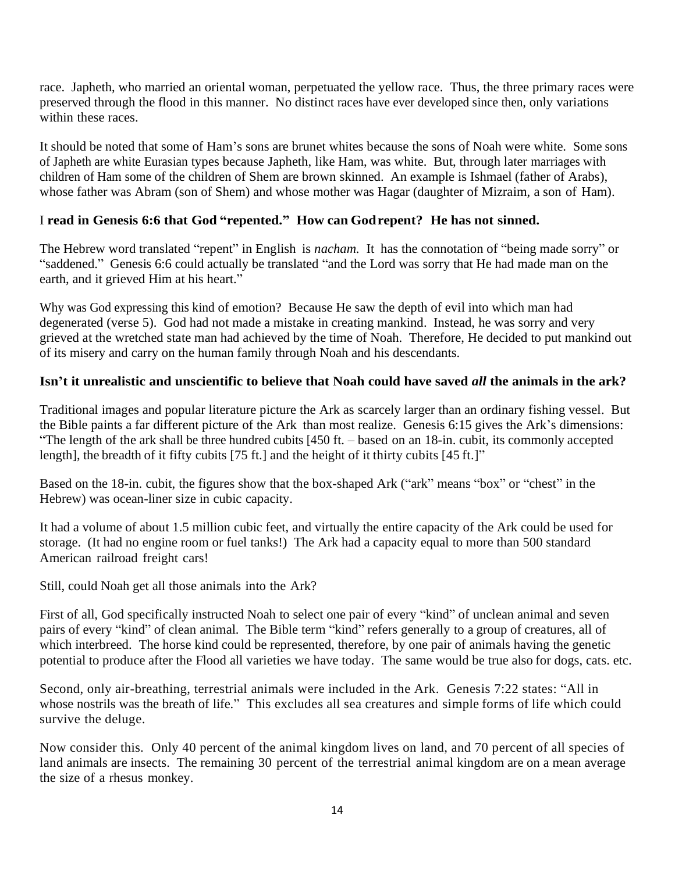race. Japheth, who married an oriental woman, perpetuated the yellow race. Thus, the three primary races were preserved through the flood in this manner. No distinct races have ever developed since then, only variations within these races.

It should be noted that some of Ham's sons are brunet whites because the sons of Noah were white. Some sons of Japheth are white Eurasian types because Japheth, like Ham, was white. But, through later marriages with children of Ham some of the children of Shem are brown skinned. An example is Ishmael (father of Arabs), whose father was Abram (son of Shem) and whose mother was Hagar (daughter of Mizraim, a son of Ham).

# I **read in Genesis 6:6 that God "repented." How can Godrepent? He has not sinned.**

The Hebrew word translated "repent" in English is *nacham.* It has the connotation of "being made sorry" or "saddened." Genesis 6:6 could actually be translated "and the Lord was sorry that He had made man on the earth, and it grieved Him at his heart."

Why was God expressing this kind of emotion? Because He saw the depth of evil into which man had degenerated (verse 5). God had not made a mistake in creating mankind. Instead, he was sorry and very grieved at the wretched state man had achieved by the time of Noah. Therefore, He decided to put mankind out of its misery and carry on the human family through Noah and his descendants.

# **Isn't it unrealistic and unscientific to believe that Noah could have saved** *all* **the animals in the ark?**

Traditional images and popular literature picture the Ark as scarcely larger than an ordinary fishing vessel. But the Bible paints a far different picture of the Ark than most realize. Genesis 6:15 gives the Ark's dimensions: "The length of the ark shall be three hundred cubits [450 ft. – based on an 18-in. cubit, its commonly accepted length], the breadth of it fifty cubits [75 ft.] and the height of it thirty cubits [45 ft.]"

Based on the 18-in. cubit, the figures show that the box-shaped Ark ("ark" means "box" or "chest" in the Hebrew) was ocean-liner size in cubic capacity.

It had a volume of about 1.5 million cubic feet, and virtually the entire capacity of the Ark could be used for storage. (It had no engine room or fuel tanks!) The Ark had a capacity equal to more than 500 standard American railroad freight cars!

Still, could Noah get all those animals into the Ark?

First of all, God specifically instructed Noah to select one pair of every "kind" of unclean animal and seven pairs of every "kind" of clean animal. The Bible term "kind" refers generally to a group of creatures, all of which interbreed. The horse kind could be represented, therefore, by one pair of animals having the genetic potential to produce after the Flood all varieties we have today. The same would be true also for dogs, cats. etc.

Second, only air-breathing, terrestrial animals were included in the Ark. Genesis 7:22 states: "All in whose nostrils was the breath of life." This excludes all sea creatures and simple forms of life which could survive the deluge.

Now consider this. Only 40 percent of the animal kingdom lives on land, and 70 percent of all species of land animals are insects. The remaining 30 percent of the terrestrial animal kingdom are on a mean average the size of a rhesus monkey.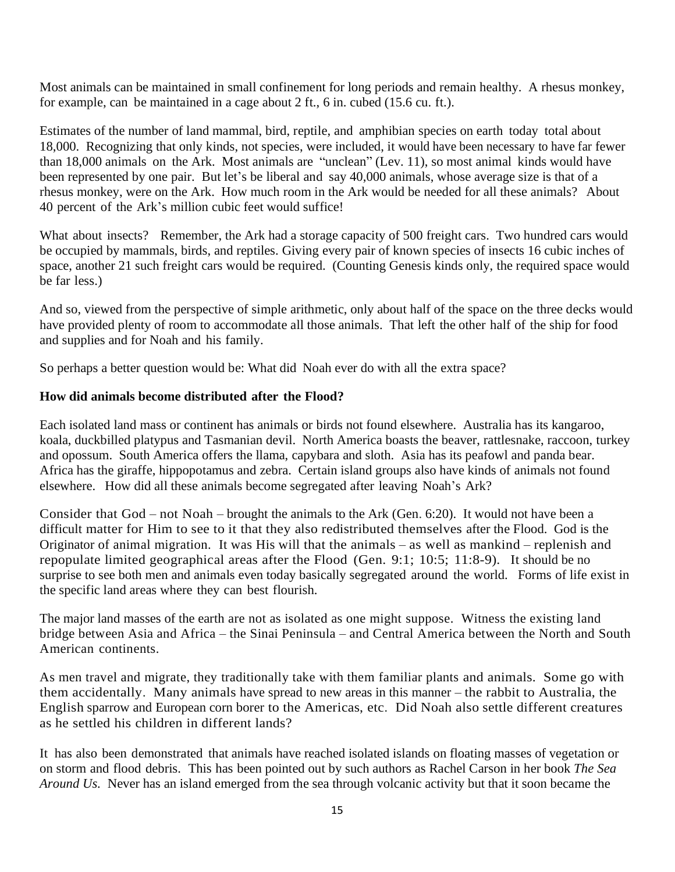Most animals can be maintained in small confinement for long periods and remain healthy. A rhesus monkey, for example, can be maintained in a cage about 2 ft., 6 in. cubed (15.6 cu. ft.).

Estimates of the number of land mammal, bird, reptile, and amphibian species on earth today total about 18,000. Recognizing that only kinds, not species, were included, it would have been necessary to have far fewer than 18,000 animals on the Ark. Most animals are "unclean" (Lev. 11), so most animal kinds would have been represented by one pair. But let's be liberal and say 40,000 animals, whose average size is that of a rhesus monkey, were on the Ark. How much room in the Ark would be needed for all these animals? About 40 percent of the Ark's million cubic feet would suffice!

What about insects? Remember, the Ark had a storage capacity of 500 freight cars. Two hundred cars would be occupied by mammals, birds, and reptiles. Giving every pair of known species of insects 16 cubic inches of space, another 21 such freight cars would be required. (Counting Genesis kinds only, the required space would be far less.)

And so, viewed from the perspective of simple arithmetic, only about half of the space on the three decks would have provided plenty of room to accommodate all those animals. That left the other half of the ship for food and supplies and for Noah and his family.

So perhaps a better question would be: What did Noah ever do with all the extra space?

## **How did animals become distributed after the Flood?**

Each isolated land mass or continent has animals or birds not found elsewhere. Australia has its kangaroo, koala, duckbilled platypus and Tasmanian devil. North America boasts the beaver, rattlesnake, raccoon, turkey and opossum. South America offers the llama, capybara and sloth. Asia has its peafowl and panda bear. Africa has the giraffe, hippopotamus and zebra. Certain island groups also have kinds of animals not found elsewhere. How did all these animals become segregated after leaving Noah's Ark?

Consider that God – not Noah – brought the animals to the Ark (Gen. 6:20). It would not have been a difficult matter for Him to see to it that they also redistributed themselves after the Flood. God is the Originator of animal migration. It was His will that the animals – as well as mankind – replenish and repopulate limited geographical areas after the Flood (Gen. 9:1; 10:5; 11:8-9). It should be no surprise to see both men and animals even today basically segregated around the world. Forms of life exist in the specific land areas where they can best flourish.

The major land masses of the earth are not as isolated as one might suppose. Witness the existing land bridge between Asia and Africa – the Sinai Peninsula – and Central America between the North and South American continents.

As men travel and migrate, they traditionally take with them familiar plants and animals. Some go with them accidentally. Many animals have spread to new areas in this manner – the rabbit to Australia, the English sparrow and European corn borer to the Americas, etc. Did Noah also settle different creatures as he settled his children in different lands?

It has also been demonstrated that animals have reached isolated islands on floating masses of vegetation or on storm and flood debris. This has been pointed out by such authors as Rachel Carson in her book *The Sea Around Us.* Never has an island emerged from the sea through volcanic activity but that it soon became the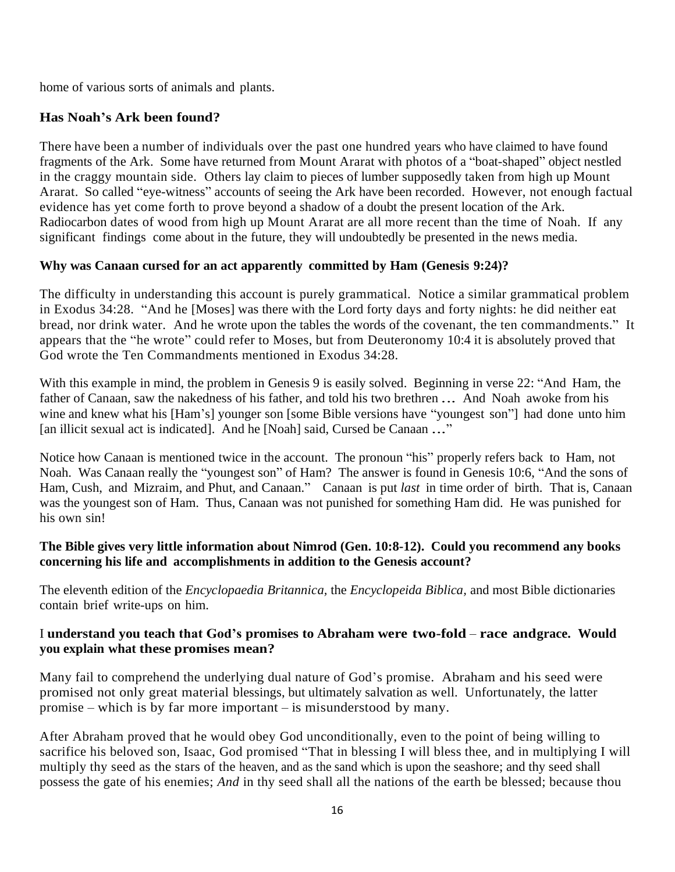home of various sorts of animals and plants.

# **Has Noah's Ark been found?**

There have been a number of individuals over the past one hundred years who have claimed to have found fragments of the Ark. Some have returned from Mount Ararat with photos of a "boat-shaped" object nestled in the craggy mountain side. Others lay claim to pieces of lumber supposedly taken from high up Mount Ararat. So called "eye-witness" accounts of seeing the Ark have been recorded. However, not enough factual evidence has yet come forth to prove beyond a shadow of a doubt the present location of the Ark. Radiocarbon dates of wood from high up Mount Ararat are all more recent than the time of Noah. If any significant findings come about in the future, they will undoubtedly be presented in the news media.

# **Why was Canaan cursed for an act apparently committed by Ham (Genesis 9:24)?**

The difficulty in understanding this account is purely grammatical. Notice a similar grammatical problem in Exodus 34:28. "And he [Moses] was there with the Lord forty days and forty nights: he did neither eat bread, nor drink water. And he wrote upon the tables the words of the covenant, the ten commandments." It appears that the "he wrote" could refer to Moses, but from Deuteronomy 10:4 it is absolutely proved that God wrote the Ten Commandments mentioned in Exodus 34:28.

With this example in mind, the problem in Genesis 9 is easily solved. Beginning in verse 22: "And Ham, the father of Canaan, saw the nakedness of his father, and told his two brethren *.*.. And Noah awoke from his wine and knew what his [Ham's] younger son [some Bible versions have "youngest son"] had done unto him [an illicit sexual act is indicated]. And he [Noah] said, Cursed be Canaan *.*.."

Notice how Canaan is mentioned twice in the account. The pronoun "his" properly refers back to Ham, not Noah. Was Canaan really the "youngest son" of Ham? The answer is found in Genesis 10:6, "And the sons of Ham, Cush, and Mizraim, and Phut, and Canaan." Canaan is put *last* in time order of birth. That is, Canaan was the youngest son of Ham. Thus, Canaan was not punished for something Ham did. He was punished for his own sin!

## **The Bible gives very little information about Nimrod (Gen. 10:8-12). Could you recommend any books concerning his life and accomplishments in addition to the Genesis account?**

The eleventh edition of the *Encyclopaedia Britannica,* the *Encyclopeida Biblica,* and most Bible dictionaries contain brief write-ups on him.

## I **understand you teach that God's promises to Abraham were two-fold** – **race andgrace. Would you explain what these promises mean?**

Many fail to comprehend the underlying dual nature of God's promise. Abraham and his seed were promised not only great material blessings, but ultimately salvation as well. Unfortunately, the latter promise – which is by far more important – is misunderstood by many.

After Abraham proved that he would obey God unconditionally, even to the point of being willing to sacrifice his beloved son, Isaac, God promised "That in blessing I will bless thee, and in multiplying I will multiply thy seed as the stars of the heaven, and as the sand which is upon the seashore; and thy seed shall possess the gate of his enemies; *And* in thy seed shall all the nations of the earth be blessed; because thou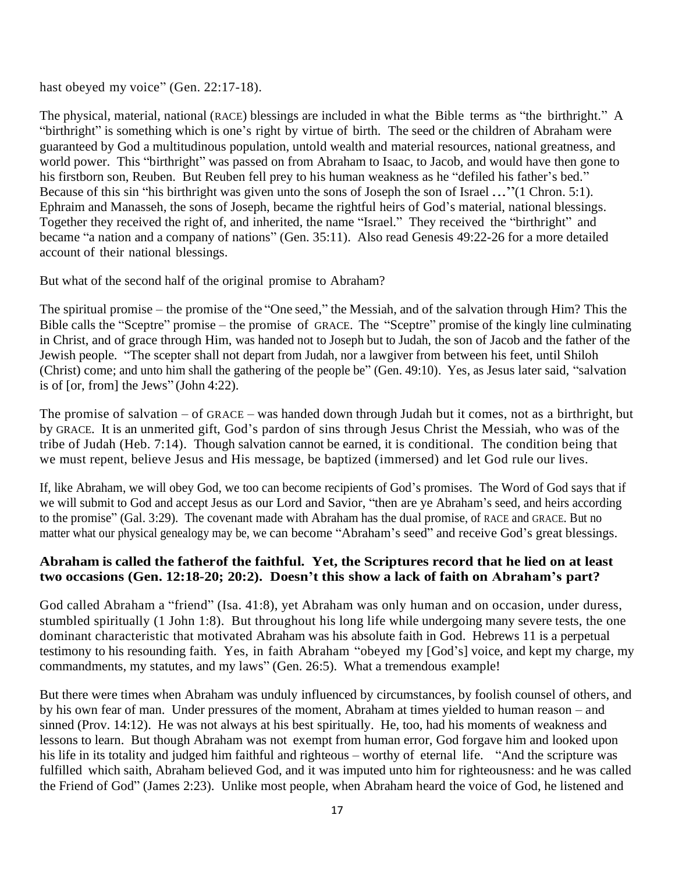hast obeyed my voice" (Gen. 22:17-18).

The physical, material, national (RACE) blessings are included in what the Bible terms as "the birthright." A "birthright" is something which is one's right by virtue of birth. The seed or the children of Abraham were guaranteed by God a multitudinous population, untold wealth and material resources, national greatness, and world power. This "birthright" was passed on from Abraham to Isaac, to Jacob, and would have then gone to his firstborn son, Reuben. But Reuben fell prey to his human weakness as he "defiled his father's bed." Because of this sin "his birthright was given unto the sons of Joseph the son of Israel *.*.."(1 Chron. 5:1). Ephraim and Manasseh, the sons of Joseph, became the rightful heirs of God's material, national blessings. Together they received the right of, and inherited, the name "Israel." They received the "birthright" and became "a nation and a company of nations" (Gen. 35:11). Also read Genesis 49:22-26 for a more detailed account of their national blessings.

But what of the second half of the original promise to Abraham?

The spiritual promise – the promise of the "One seed," the Messiah, and of the salvation through Him? This the Bible calls the "Sceptre" promise – the promise of GRACE. The "Sceptre" promise of the kingly line culminating in Christ, and of grace through Him, was handed not to Joseph but to Judah, the son of Jacob and the father of the Jewish people. "The scepter shall not depart from Judah, nor a lawgiver from between his feet, until Shiloh (Christ) come; and unto him shall the gathering of the people be" (Gen. 49:10). Yes, as Jesus later said, "salvation is of [or, from] the Jews" (John 4:22).

The promise of salvation – of GRACE – was handed down through Judah but it comes, not as a birthright, but by GRACE. It is an unmerited gift, God's pardon of sins through Jesus Christ the Messiah, who was of the tribe of Judah (Heb. 7:14). Though salvation cannot be earned, it is conditional. The condition being that we must repent, believe Jesus and His message, be baptized (immersed) and let God rule our lives.

If, like Abraham, we will obey God, we too can become recipients of God's promises. The Word of God says that if we will submit to God and accept Jesus as our Lord and Savior, "then are ye Abraham's seed, and heirs according to the promise" (Gal. 3:29). The covenant made with Abraham has the dual promise, of RACE and GRACE. But no matter what our physical genealogy may be, we can become "Abraham's seed" and receive God's great blessings.

## **Abraham is called the fatherof the faithful. Yet, the Scriptures record that he lied on at least two occasions (Gen. 12:18-20; 20:2). Doesn't this show a lack of faith on Abraham's part?**

God called Abraham a "friend" (Isa. 41:8), yet Abraham was only human and on occasion, under duress, stumbled spiritually (1 John 1:8). But throughout his long life while undergoing many severe tests, the one dominant characteristic that motivated Abraham was his absolute faith in God. Hebrews 11 is a perpetual testimony to his resounding faith. Yes, in faith Abraham "obeyed my [God's] voice, and kept my charge, my commandments, my statutes, and my laws" (Gen. 26:5). What a tremendous example!

But there were times when Abraham was unduly influenced by circumstances, by foolish counsel of others, and by his own fear of man. Under pressures of the moment, Abraham at times yielded to human reason – and sinned (Prov. 14:12). He was not always at his best spiritually. He, too, had his moments of weakness and lessons to learn. But though Abraham was not exempt from human error, God forgave him and looked upon his life in its totality and judged him faithful and righteous – worthy of eternal life. "And the scripture was fulfilled which saith, Abraham believed God, and it was imputed unto him for righteousness: and he was called the Friend of God" (James 2:23). Unlike most people, when Abraham heard the voice of God, he listened and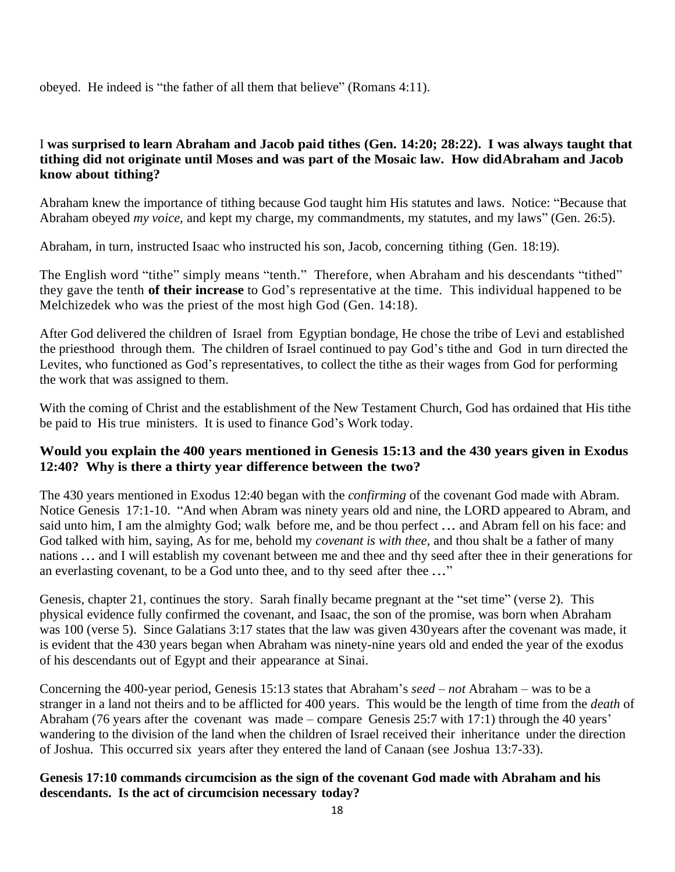obeyed. He indeed is "the father of all them that believe" (Romans 4:11).

# I **was surprised to learn Abraham and Jacob paid tithes (Gen. 14:20; 28:22). I was always taught that tithing did not originate until Moses and was part of the Mosaic law. How didAbraham and Jacob know about tithing?**

Abraham knew the importance of tithing because God taught him His statutes and laws. Notice: "Because that Abraham obeyed *my voice,* and kept my charge, my commandments, my statutes, and my laws" (Gen. 26:5).

Abraham, in turn, instructed Isaac who instructed his son, Jacob, concerning tithing (Gen. 18:19).

The English word "tithe" simply means "tenth." Therefore, when Abraham and his descendants "tithed" they gave the tenth **of their increase** to God's representative at the time. This individual happened to be Melchizedek who was the priest of the most high God (Gen. 14:18).

After God delivered the children of Israel from Egyptian bondage, He chose the tribe of Levi and established the priesthood through them. The children of Israel continued to pay God's tithe and God in turn directed the Levites, who functioned as God's representatives, to collect the tithe as their wages from God for performing the work that was assigned to them.

With the coming of Christ and the establishment of the New Testament Church, God has ordained that His tithe be paid to His true ministers. It is used to finance God's Work today.

## **Would you explain the 400 years mentioned in Genesis 15:13 and the 430 years given in Exodus 12:40? Why is there a thirty year difference between the two?**

The 430 years mentioned in Exodus 12:40 began with the *confirming* of the covenant God made with Abram. Notice Genesis 17:1-10. "And when Abram was ninety years old and nine, the LORD appeared to Abram, and said unto him, I am the almighty God; walk before me, and be thou perfect *.*.. and Abram fell on his face: and God talked with him, saying, As for me, behold my *covenant is with thee,* and thou shalt be a father of many nations *.*.. and I will establish my covenant between me and thee and thy seed after thee in their generations for an everlasting covenant, to be a God unto thee, and to thy seed after thee *.*.."

Genesis, chapter 21, continues the story. Sarah finally became pregnant at the "set time" (verse 2). This physical evidence fully confirmed the covenant, and Isaac, the son of the promise, was born when Abraham was 100 (verse 5). Since Galatians 3:17 states that the law was given 430years after the covenant was made, it is evident that the 430 years began when Abraham was ninety-nine years old and ended the year of the exodus of his descendants out of Egypt and their appearance at Sinai.

Concerning the 400-year period, Genesis 15:13 states that Abraham's *seed* – *not* Abraham – was to be a stranger in a land not theirs and to be afflicted for 400 years. This would be the length of time from the *death* of Abraham (76 years after the covenant was made – compare Genesis 25:7 with 17:1) through the 40 years' wandering to the division of the land when the children of Israel received their inheritance under the direction of Joshua. This occurred six years after they entered the land of Canaan (see Joshua 13:7-33).

## **Genesis 17:10 commands circumcision as the sign of the covenant God made with Abraham and his descendants. Is the act of circumcision necessary today?**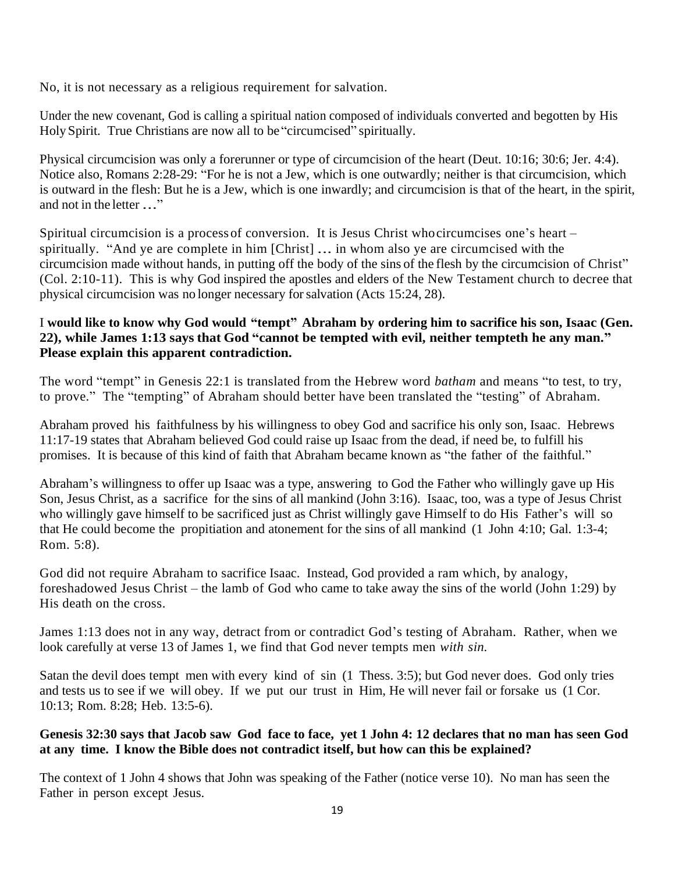No, it is not necessary as a religious requirement for salvation.

Under the new covenant, God is calling a spiritual nation composed of individuals converted and begotten by His Holy Spirit. True Christians are now all to be "circumcised" spiritually.

Physical circumcision was only a forerunner or type of circumcision of the heart (Deut. 10:16; 30:6; Jer. 4:4). Notice also, Romans 2:28-29: "For he is not a Jew, which is one outwardly; neither is that circumcision, which is outward in the flesh: But he is a Jew, which is one inwardly; and circumcision is that of the heart, in the spirit, and not in the letter *.*.."

Spiritual circumcision is a processof conversion. It is Jesus Christ whocircumcises one's heart – spiritually. "And ye are complete in him [Christ] *.*.. in whom also ye are circumcised with the circumcision made without hands, in putting off the body of the sins of the flesh by the circumcision of Christ" (Col. 2:10-11). This is why God inspired the apostles and elders of the New Testament church to decree that physical circumcision was no longer necessary forsalvation (Acts 15:24, 28).

# I **would like to know why God would "tempt" Abraham by ordering him to sacrifice his son, Isaac (Gen. 22), while James 1:13 says that God "cannot be tempted with evil, neither tempteth he any man." Please explain this apparent contradiction.**

The word "tempt" in Genesis 22:1 is translated from the Hebrew word *batham* and means "to test, to try, to prove." The "tempting" of Abraham should better have been translated the "testing" of Abraham.

Abraham proved his faithfulness by his willingness to obey God and sacrifice his only son, Isaac. Hebrews 11:17-19 states that Abraham believed God could raise up Isaac from the dead, if need be, to fulfill his promises. It is because of this kind of faith that Abraham became known as "the father of the faithful."

Abraham's willingness to offer up Isaac was a type, answering to God the Father who willingly gave up His Son, Jesus Christ, as a sacrifice for the sins of all mankind (John 3:16). Isaac, too, was a type of Jesus Christ who willingly gave himself to be sacrificed just as Christ willingly gave Himself to do His Father's will so that He could become the propitiation and atonement for the sins of all mankind (1 John 4:10; Gal. 1:3-4; Rom. 5:8).

God did not require Abraham to sacrifice Isaac. Instead, God provided a ram which, by analogy, foreshadowed Jesus Christ – the lamb of God who came to take away the sins of the world (John 1:29) by His death on the cross.

James 1:13 does not in any way, detract from or contradict God's testing of Abraham. Rather, when we look carefully at verse 13 of James 1, we find that God never tempts men *with sin.*

Satan the devil does tempt men with every kind of sin (1 Thess. 3:5); but God never does. God only tries and tests us to see if we will obey. If we put our trust in Him, He will never fail or forsake us (1 Cor. 10:13; Rom. 8:28; Heb. 13:5-6).

# **Genesis 32:30 says that Jacob saw God face to face, yet 1 John 4: 12 declares that no man has seen God at any time. I know the Bible does not contradict itself, but how can this be explained?**

The context of 1 John 4 shows that John was speaking of the Father (notice verse 10). No man has seen the Father in person except Jesus.